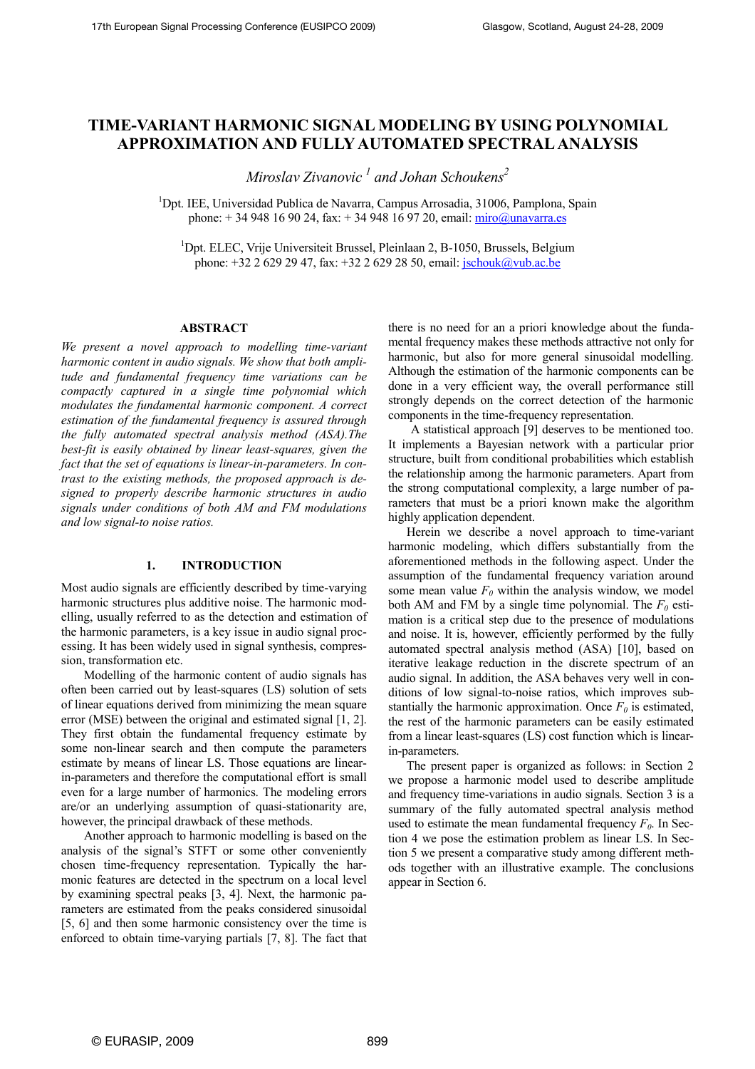# TIME-VARIANT HARMONIC SIGNAL MODELING BY USING POLYNOMIAL APPROXIMATION AND FULLY AUTOMATED SPECTRAL ANALYSIS

Miroslav Zivanovic  ${}^{I}$  and Johan Schoukens ${}^{2}$ 

<sup>1</sup>Dpt. IEE, Universidad Publica de Navarra, Campus Arrosadia, 31006, Pamplona, Spain phone:  $+ 34948169024$ , fax:  $+ 34948169720$ , email: miro@unavarra.es

<sup>1</sup>Dpt. ELEC, Vrije Universiteit Brussel, Pleinlaan 2, B-1050, Brussels, Belgium phone: +32 2 629 29 47, fax: +32 2 629 28 50, email: jschouk@vub.ac.be

# ABSTRACT

We present a novel approach to modelling time-variant harmonic content in audio signals. We show that both amplitude and fundamental frequency time variations can be compactly captured in a single time polynomial which modulates the fundamental harmonic component. A correct estimation of the fundamental frequency is assured through the fully automated spectral analysis method (ASA).The best-fit is easily obtained by linear least-squares, given the fact that the set of equations is linear-in-parameters. In contrast to the existing methods, the proposed approach is designed to properly describe harmonic structures in audio signals under conditions of both AM and FM modulations and low signal-to noise ratios.

## 1. INTRODUCTION

Most audio signals are efficiently described by time-varying harmonic structures plus additive noise. The harmonic modelling, usually referred to as the detection and estimation of the harmonic parameters, is a key issue in audio signal processing. It has been widely used in signal synthesis, compression, transformation etc.

Modelling of the harmonic content of audio signals has often been carried out by least-squares (LS) solution of sets of linear equations derived from minimizing the mean square error (MSE) between the original and estimated signal [1, 2]. They first obtain the fundamental frequency estimate by some non-linear search and then compute the parameters estimate by means of linear LS. Those equations are linearin-parameters and therefore the computational effort is small even for a large number of harmonics. The modeling errors are/or an underlying assumption of quasi-stationarity are, however, the principal drawback of these methods.

Another approach to harmonic modelling is based on the analysis of the signal's STFT or some other conveniently chosen time-frequency representation. Typically the harmonic features are detected in the spectrum on a local level by examining spectral peaks [3, 4]. Next, the harmonic parameters are estimated from the peaks considered sinusoidal [5, 6] and then some harmonic consistency over the time is enforced to obtain time-varying partials [7, 8]. The fact that there is no need for an a priori knowledge about the fundamental frequency makes these methods attractive not only for harmonic, but also for more general sinusoidal modelling. Although the estimation of the harmonic components can be done in a very efficient way, the overall performance still strongly depends on the correct detection of the harmonic components in the time-frequency representation.

A statistical approach [9] deserves to be mentioned too. It implements a Bayesian network with a particular prior structure, built from conditional probabilities which establish the relationship among the harmonic parameters. Apart from the strong computational complexity, a large number of parameters that must be a priori known make the algorithm highly application dependent.

Herein we describe a novel approach to time-variant harmonic modeling, which differs substantially from the aforementioned methods in the following aspect. Under the assumption of the fundamental frequency variation around some mean value  $F_0$  within the analysis window, we model both AM and FM by a single time polynomial. The  $F_0$  estimation is a critical step due to the presence of modulations and noise. It is, however, efficiently performed by the fully automated spectral analysis method (ASA) [10], based on iterative leakage reduction in the discrete spectrum of an audio signal. In addition, the ASA behaves very well in conditions of low signal-to-noise ratios, which improves substantially the harmonic approximation. Once  $F_0$  is estimated, the rest of the harmonic parameters can be easily estimated from a linear least-squares (LS) cost function which is linearin-parameters.

The present paper is organized as follows: in Section 2 we propose a harmonic model used to describe amplitude and frequency time-variations in audio signals. Section 3 is a summary of the fully automated spectral analysis method used to estimate the mean fundamental frequency  $F_0$ . In Section 4 we pose the estimation problem as linear LS. In Section 5 we present a comparative study among different methods together with an illustrative example. The conclusions appear in Section 6.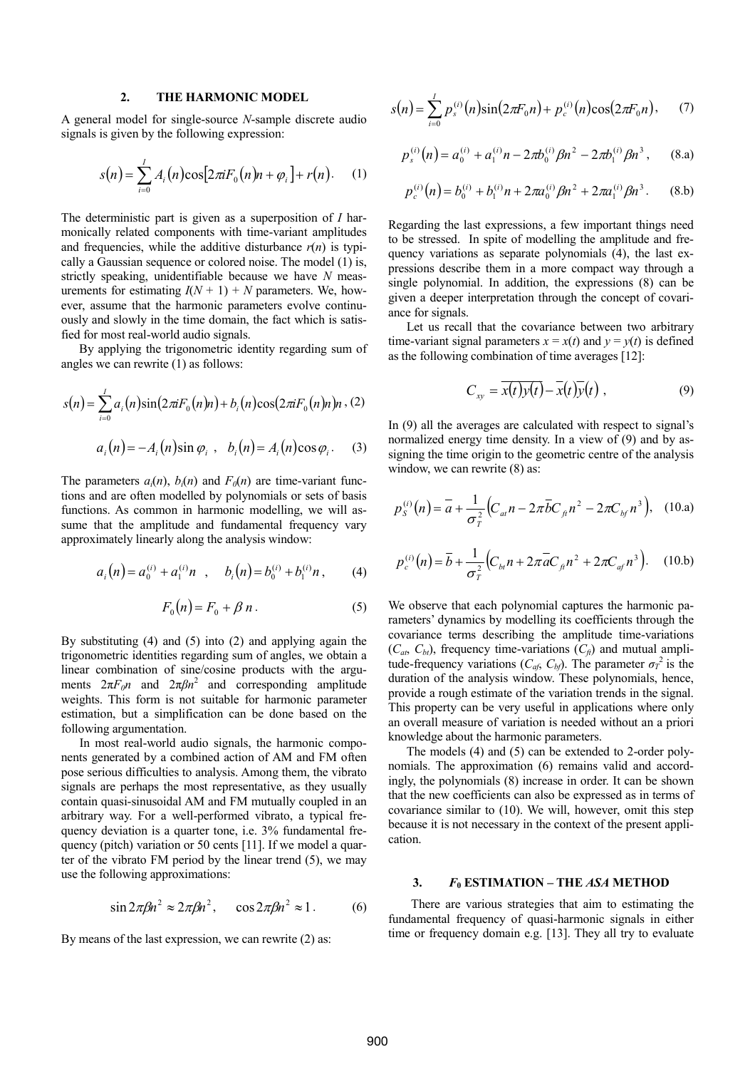# 2. THE HARMONIC MODEL

A general model for single-source N-sample discrete audio signals is given by the following expression:

$$
s(n) = \sum_{i=0}^{I} A_i(n) \cos[2\pi i F_0(n) n + \varphi_i] + r(n). \quad (1)
$$

The deterministic part is given as a superposition of *I* harmonically related components with time-variant amplitudes and frequencies, while the additive disturbance  $r(n)$  is typically a Gaussian sequence or colored noise. The model (1) is, strictly speaking, unidentifiable because we have N measurements for estimating  $I(N + 1) + N$  parameters. We, however, assume that the harmonic parameters evolve continuously and slowly in the time domain, the fact which is satisfied for most real-world audio signals.

By applying the trigonometric identity regarding sum of angles we can rewrite (1) as follows:

$$
s(n) = \sum_{i=0}^{I} a_i(n) \sin(2\pi i F_0(n)n) + b_i(n) \cos(2\pi i F_0(n)n)n
$$
 (2)  

$$
a_i(n) = -A_i(n) \sin \varphi_i , b_i(n) = A_i(n) \cos \varphi_i.
$$
 (3)

The parameters  $a_i(n)$ ,  $b_i(n)$  and  $F_0(n)$  are time-variant functions and are often modelled by polynomials or sets of basis functions. As common in harmonic modelling, we will assume that the amplitude and fundamental frequency vary approximately linearly along the analysis window:

$$
a_i(n) = a_0^{(i)} + a_1^{(i)}n \quad , \quad b_i(n) = b_0^{(i)} + b_1^{(i)}n \,, \tag{4}
$$

$$
F_0(n) = F_0 + \beta n \,. \tag{5}
$$

By substituting (4) and (5) into (2) and applying again the trigonometric identities regarding sum of angles, we obtain a linear combination of sine/cosine products with the arguments  $2\pi F_0 n$  and  $2\pi \beta n^2$  and corresponding amplitude weights. This form is not suitable for harmonic parameter estimation, but a simplification can be done based on the following argumentation.

In most real-world audio signals, the harmonic components generated by a combined action of AM and FM often pose serious difficulties to analysis. Among them, the vibrato signals are perhaps the most representative, as they usually contain quasi-sinusoidal AM and FM mutually coupled in an arbitrary way. For a well-performed vibrato, a typical frequency deviation is a quarter tone, i.e. 3% fundamental frequency (pitch) variation or 50 cents [11]. If we model a quarter of the vibrato FM period by the linear trend (5), we may use the following approximations:

$$
\sin 2\pi \beta n^2 \approx 2\pi \beta n^2, \quad \cos 2\pi \beta n^2 \approx 1. \tag{6}
$$

By means of the last expression, we can rewrite (2) as:

$$
s(n) = \sum_{i=0}^{I} p_s^{(i)}(n) \sin(2\pi F_0 n) + p_c^{(i)}(n) \cos(2\pi F_0 n), \quad (7)
$$

$$
p_s^{(i)}(n) = a_0^{(i)} + a_1^{(i)}n - 2\pi b_0^{(i)}\beta n^2 - 2\pi b_1^{(i)}\beta n^3, \qquad (8.\text{a})
$$

$$
p_c^{(i)}(n) = b_0^{(i)} + b_1^{(i)}n + 2\pi a_0^{(i)}\beta n^2 + 2\pi a_1^{(i)}\beta n^3.
$$
 (8.b)

Regarding the last expressions, a few important things need to be stressed. In spite of modelling the amplitude and frequency variations as separate polynomials (4), the last expressions describe them in a more compact way through a single polynomial. In addition, the expressions (8) can be given a deeper interpretation through the concept of covariance for signals.

Let us recall that the covariance between two arbitrary time-variant signal parameters  $x = x(t)$  and  $y = y(t)$  is defined as the following combination of time averages [12]:

$$
C_{xy} = \overline{x(t)y(t)} - \overline{x(t)}\overline{y(t)}, \qquad (9)
$$

In (9) all the averages are calculated with respect to signal's normalized energy time density. In a view of (9) and by assigning the time origin to the geometric centre of the analysis window, we can rewrite  $(8)$  as:

$$
p_S^{(i)}(n) = \overline{a} + \frac{1}{\sigma_T^2} \Big( C_{at} n - 2\pi \overline{b} C_{ft} n^2 - 2\pi C_{bf} n^3 \Big), \quad (10. a)
$$

$$
p_c^{(i)}(n) = \bar{b} + \frac{1}{\sigma_T^2} \Big( C_{bt} n + 2\pi \bar{a} C_{ft} n^2 + 2\pi C_{af} n^3 \Big). \quad (10.b)
$$

We observe that each polynomial captures the harmonic parameters' dynamics by modelling its coefficients through the covariance terms describing the amplitude time-variations  $(C_{at}, C_{bt})$ , frequency time-variations  $(C_{ft})$  and mutual amplitude-frequency variations ( $C_{af}$ ,  $C_{bf}$ ). The parameter  $\sigma_T^2$  is the duration of the analysis window. These polynomials, hence, provide a rough estimate of the variation trends in the signal. This property can be very useful in applications where only an overall measure of variation is needed without an a priori knowledge about the harmonic parameters.

The models (4) and (5) can be extended to 2-order polynomials. The approximation (6) remains valid and accordingly, the polynomials (8) increase in order. It can be shown that the new coefficients can also be expressed as in terms of covariance similar to (10). We will, however, omit this step because it is not necessary in the context of the present application.

# 3.  $F_0$  ESTIMATION – THE ASA METHOD

There are various strategies that aim to estimating the fundamental frequency of quasi-harmonic signals in either time or frequency domain e.g. [13]. They all try to evaluate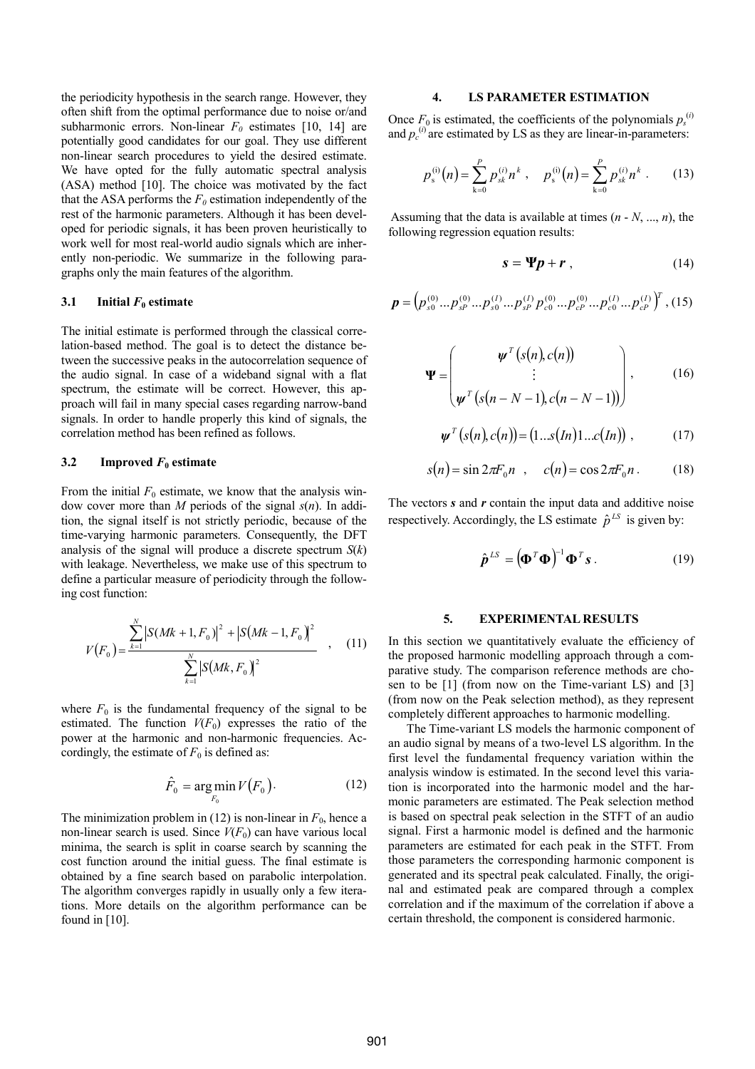the periodicity hypothesis in the search range. However, they often shift from the optimal performance due to noise or/and subharmonic errors. Non-linear  $F_0$  estimates [10, 14] are potentially good candidates for our goal. They use different non-linear search procedures to yield the desired estimate. We have opted for the fully automatic spectral analysis (ASA) method [10]. The choice was motivated by the fact that the ASA performs the  $F_0$  estimation independently of the rest of the harmonic parameters. Although it has been developed for periodic signals, it has been proven heuristically to work well for most real-world audio signals which are inherently non-periodic. We summarize in the following paragraphs only the main features of the algorithm.

### 3.1 Initial  $F_0$  estimate

The initial estimate is performed through the classical correlation-based method. The goal is to detect the distance between the successive peaks in the autocorrelation sequence of the audio signal. In case of a wideband signal with a flat spectrum, the estimate will be correct. However, this approach will fail in many special cases regarding narrow-band signals. In order to handle properly this kind of signals, the correlation method has been refined as follows.

#### 3.2 Improved  $F_0$  estimate

From the initial  $F_0$  estimate, we know that the analysis window cover more than M periods of the signal  $s(n)$ . In addition, the signal itself is not strictly periodic, because of the time-varying harmonic parameters. Consequently, the DFT analysis of the signal will produce a discrete spectrum  $S(k)$ with leakage. Nevertheless, we make use of this spectrum to define a particular measure of periodicity through the following cost function:

$$
V(F_0) = \frac{\sum_{k=1}^{N} |S(Mk+1, F_0)|^2 + |S(Mk-1, F_0)|^2}{\sum_{k=1}^{N} |S(Mk, F_0)|^2}, \quad (11)
$$

where  $F_0$  is the fundamental frequency of the signal to be estimated. The function  $V(F_0)$  expresses the ratio of the power at the harmonic and non-harmonic frequencies. Accordingly, the estimate of  $F_0$  is defined as:

$$
\hat{F}_0 = \underset{F_0}{\arg\min} V(F_0). \tag{12}
$$

The minimization problem in (12) is non-linear in  $F_0$ , hence a non-linear search is used. Since  $V(F_0)$  can have various local minima, the search is split in coarse search by scanning the cost function around the initial guess. The final estimate is obtained by a fine search based on parabolic interpolation. The algorithm converges rapidly in usually only a few iterations. More details on the algorithm performance can be found in  $[10]$ .

## 4. LS PARAMETER ESTIMATION

Once  $F_0$  is estimated, the coefficients of the polynomials  $p_s^{(i)}$ and  $p_c^{(i)}$  are estimated by LS as they are linear-in-parameters:

$$
p_{s}^{(i)}(n) = \sum_{k=0}^{P} p_{sk}^{(i)} n^{k}, \quad p_{s}^{(i)}(n) = \sum_{k=0}^{P} p_{sk}^{(i)} n^{k}.
$$
 (13)

Assuming that the data is available at times  $(n - N, ..., n)$ , the following regression equation results:

$$
s = \Psi p + r \tag{14}
$$

$$
\boldsymbol{p} = \left( p_{s0}^{(0)} \dots p_{sP}^{(0)} \dots p_{s0}^{(I)} \dots p_{sP}^{(I)} p_{c0}^{(0)} \dots p_{cP}^{(0)} \dots p_{c0}^{(I)} \dots p_{cP}^{(I)} \right)^T, (15)
$$

$$
\Psi = \begin{pmatrix} \psi^{T} (s(n), c(n)) \\ \vdots \\ \psi^{T} (s(n-N-1), c(n-N-1)) \end{pmatrix}, \quad (16)
$$

$$
\psi^T(s(n), c(n)) = (1...s(In)1...c(In)) , \qquad (17)
$$

$$
s(n) = \sin 2\pi F_0 n \quad , \quad c(n) = \cos 2\pi F_0 n \,. \tag{18}
$$

The vectors  $s$  and  $r$  contain the input data and additive noise respectively. Accordingly, the LS estimate  $\hat{p}^{LS}$  is given by:

$$
\hat{\boldsymbol{p}}^{LS} = (\boldsymbol{\Phi}^T \boldsymbol{\Phi})^{-1} \boldsymbol{\Phi}^T \boldsymbol{s} . \tag{19}
$$

### 5. EXPERIMENTAL RESULTS

In this section we quantitatively evaluate the efficiency of the proposed harmonic modelling approach through a comparative study. The comparison reference methods are chosen to be [1] (from now on the Time-variant LS) and [3] (from now on the Peak selection method), as they represent completely different approaches to harmonic modelling.

The Time-variant LS models the harmonic component of an audio signal by means of a two-level LS algorithm. In the first level the fundamental frequency variation within the analysis window is estimated. In the second level this variation is incorporated into the harmonic model and the harmonic parameters are estimated. The Peak selection method is based on spectral peak selection in the STFT of an audio signal. First a harmonic model is defined and the harmonic parameters are estimated for each peak in the STFT. From those parameters the corresponding harmonic component is generated and its spectral peak calculated. Finally, the original and estimated peak are compared through a complex correlation and if the maximum of the correlation if above a certain threshold, the component is considered harmonic.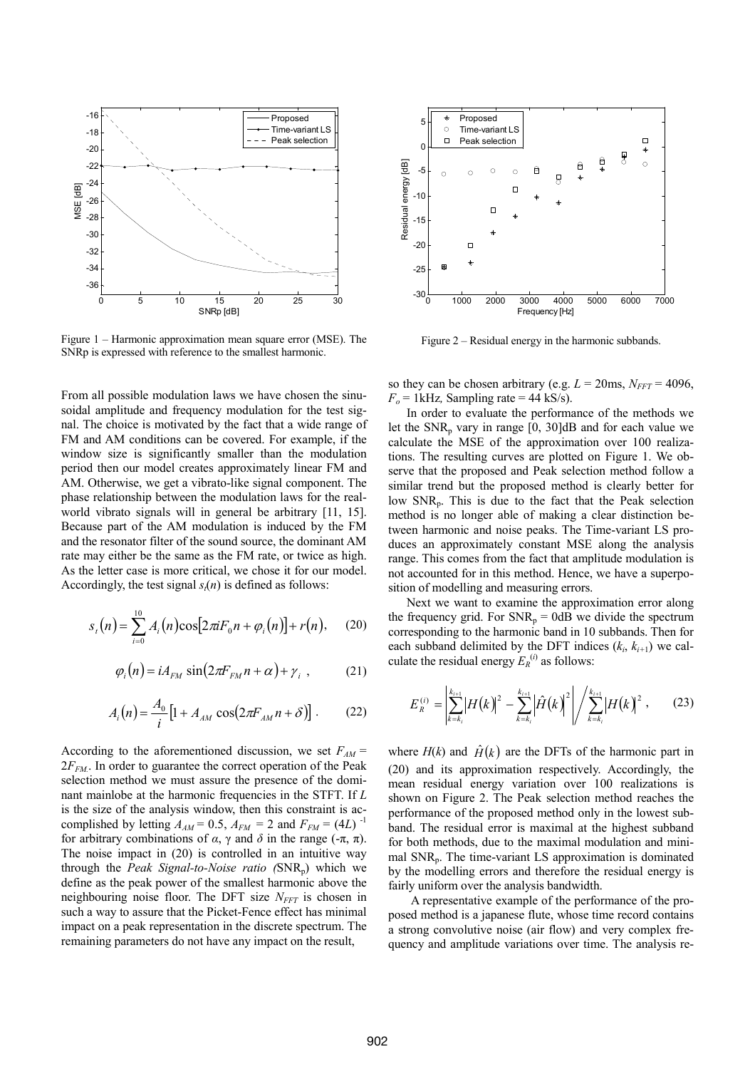

Figure 1 – Harmonic approximation mean square error (MSE). The SNRp is expressed with reference to the smallest harmonic.

From all possible modulation laws we have chosen the sinusoidal amplitude and frequency modulation for the test signal. The choice is motivated by the fact that a wide range of FM and AM conditions can be covered. For example, if the window size is significantly smaller than the modulation period then our model creates approximately linear FM and AM. Otherwise, we get a vibrato-like signal component. The phase relationship between the modulation laws for the realworld vibrato signals will in general be arbitrary [11, 15]. Because part of the AM modulation is induced by the FM and the resonator filter of the sound source, the dominant AM rate may either be the same as the FM rate, or twice as high. As the letter case is more critical, we chose it for our model. Accordingly, the test signal  $s<sub>i</sub>(n)$  is defined as follows:

$$
s_{t}(n) = \sum_{i=0}^{10} A_{i}(n) \cos[2\pi i F_{0}n + \varphi_{i}(n)] + r(n), \quad (20)
$$

$$
\varphi_i(n) = i A_{FM} \sin(2\pi F_{FM} n + \alpha) + \gamma_i , \qquad (21)
$$

$$
A_i(n) = \frac{A_0}{i} \left[ 1 + A_{AM} \cos(2\pi F_{AM} n + \delta) \right].
$$
 (22)

According to the aforementioned discussion, we set  $F_{AM}$  =  $2F_{FM}$ . In order to guarantee the correct operation of the Peak selection method we must assure the presence of the dominant mainlobe at the harmonic frequencies in the STFT. If L is the size of the analysis window, then this constraint is accomplished by letting  $A_{AM} = 0.5$ ,  $A_{FM} = 2$  and  $F_{FM} = (4L)^{-1}$ for arbitrary combinations of α, γ and δ in the range (-π, π). The noise impact in (20) is controlled in an intuitive way through the *Peak Signal-to-Noise ratio*  $(SNR_n)$  which we define as the peak power of the smallest harmonic above the neighbouring noise floor. The DFT size  $N_{FFT}$  is chosen in such a way to assure that the Picket-Fence effect has minimal impact on a peak representation in the discrete spectrum. The remaining parameters do not have any impact on the result,



Figure 2 – Residual energy in the harmonic subbands.

so they can be chosen arbitrary (e.g.  $L = 20$ ms,  $N_{FFT} = 4096$ ,  $F<sub>o</sub> = 1$  kHz, Sampling rate = 44 kS/s).

In order to evaluate the performance of the methods we let the  $SNR_p$  vary in range [0, 30]dB and for each value we calculate the MSE of the approximation over 100 realizations. The resulting curves are plotted on Figure 1. We observe that the proposed and Peak selection method follow a similar trend but the proposed method is clearly better for low SNRp. This is due to the fact that the Peak selection method is no longer able of making a clear distinction between harmonic and noise peaks. The Time-variant LS produces an approximately constant MSE along the analysis range. This comes from the fact that amplitude modulation is not accounted for in this method. Hence, we have a superposition of modelling and measuring errors.

Next we want to examine the approximation error along the frequency grid. For  $SNR_p = 0$ dB we divide the spectrum corresponding to the harmonic band in 10 subbands. Then for each subband delimited by the DFT indices  $(k_i, k_{i+1})$  we calculate the residual energy  $E_R^{(i)}$  as follows:

$$
E_R^{(i)} = \left| \sum_{k=k_i}^{k_{i+1}} \left| H(k) \right|^2 - \sum_{k=k_i}^{k_{i+1}} \left| \hat{H}(k) \right|^2 \right| / \sum_{k=k_i}^{k_{i+1}} \left| H(k) \right|^2, \quad (23)
$$

where  $H(k)$  and  $\hat{H}(k)$  are the DFTs of the harmonic part in (20) and its approximation respectively. Accordingly, the mean residual energy variation over 100 realizations is shown on Figure 2. The Peak selection method reaches the performance of the proposed method only in the lowest subband. The residual error is maximal at the highest subband for both methods, due to the maximal modulation and minimal  $SNR<sub>p</sub>$ . The time-variant LS approximation is dominated by the modelling errors and therefore the residual energy is fairly uniform over the analysis bandwidth.

A representative example of the performance of the proposed method is a japanese flute, whose time record contains a strong convolutive noise (air flow) and very complex frequency and amplitude variations over time. The analysis re